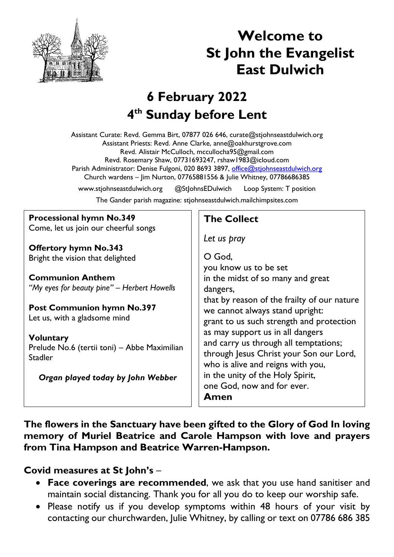

# **Welcome to St John the Evangelist East Dulwich**

# **6 February 2022 4 th Sunday before Lent**

Assistant Curate: Revd. Gemma Birt, 07877 026 646, curate@stjohnseastdulwich.org Assistant Priests: Revd. Anne Clarke, anne@oakhurstgrove.com Revd. Alistair McCulloch, mccullocha95@gmail.com Revd. Rosemary Shaw, 07731693247, rshaw1983@icloud.com Parish Administrator: Denise Fulgoni, 020 8693 3897, [office@stjohnseastdulwich.org](mailto:office@stjohnseastdulwich.org) Church wardens – Jim Nurton, 07765881556 & Julie Whitney, 07786686385

www.stjohnseastdulwich.org @StJohnsEDulwich Loop System: T position

The Gander parish magazine: stjohnseastdulwich.mailchimpsites.com

#### **Processional hymn No.349**

Come, let us join our cheerful songs

**Offertory hymn No.343** Bright the vision that delighted

**Communion Anthem** *"My eyes for beauty pine" – Herbert Howells*

**Post Communion hymn No.397** Let us, with a gladsome mind

**Voluntary** Prelude No.6 (tertii toni) – Abbe Maximilian Stadler

*Organ played today by John Webber*

#### **The Collect**

*Let us pray*

O God, you know us to be set in the midst of so many and great dangers, that by reason of the frailty of our nature we cannot always stand upright: grant to us such strength and protection as may support us in all dangers and carry us through all temptations; through Jesus Christ your Son our Lord, who is alive and reigns with you, in the unity of the Holy Spirit, one God, now and for ever. **Amen**

**The flowers in the Sanctuary have been gifted to the Glory of God In loving memory of Muriel Beatrice and Carole Hampson with love and prayers from Tina Hampson and Beatrice Warren-Hampson.**

#### **Covid measures at St John's** –

- **Face coverings are recommended**, we ask that you use hand sanitiser and maintain social distancing. Thank you for all you do to keep our worship safe.
- Please notify us if you develop symptoms within 48 hours of your visit by contacting our churchwarden, Julie Whitney, by calling or text on 07786 686 385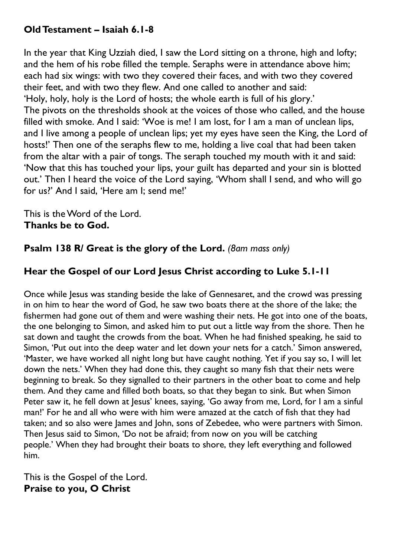## **Old Testament – Isaiah 6.1-8**

In the year that King Uzziah died, I saw the Lord sitting on a throne, high and lofty; and the hem of his robe filled the temple. Seraphs were in attendance above him; each had six wings: with two they covered their faces, and with two they covered their feet, and with two they flew. And one called to another and said: 'Holy, holy, holy is the Lord of hosts; the whole earth is full of his glory.' The pivots on the thresholds shook at the voices of those who called, and the house filled with smoke. And I said: 'Woe is me! I am lost, for I am a man of unclean lips, and I live among a people of unclean lips; yet my eyes have seen the King, the Lord of hosts!' Then one of the seraphs flew to me, holding a live coal that had been taken from the altar with a pair of tongs. The seraph touched my mouth with it and said: 'Now that this has touched your lips, your guilt has departed and your sin is blotted out.' Then I heard the voice of the Lord saying, 'Whom shall I send, and who will go for us?' And I said, 'Here am I; send me!'

This is the Word of the Lord. **Thanks be to God.**

**Psalm 138 R/ Great is the glory of the Lord.** *(8am mass only)*

## **Hear the Gospel of our Lord Jesus Christ according to Luke 5.1-11**

Once while Jesus was standing beside the lake of Gennesaret, and the crowd was pressing in on him to hear the word of God, he saw two boats there at the shore of the lake; the fishermen had gone out of them and were washing their nets. He got into one of the boats, the one belonging to Simon, and asked him to put out a little way from the shore. Then he sat down and taught the crowds from the boat. When he had finished speaking, he said to Simon, 'Put out into the deep water and let down your nets for a catch.' Simon answered, 'Master, we have worked all night long but have caught nothing. Yet if you say so, I will let down the nets.' When they had done this, they caught so many fish that their nets were beginning to break. So they signalled to their partners in the other boat to come and help them. And they came and filled both boats, so that they began to sink. But when Simon Peter saw it, he fell down at Jesus' knees, saying, 'Go away from me, Lord, for I am a sinful man!' For he and all who were with him were amazed at the catch of fish that they had taken; and so also were lames and John, sons of Zebedee, who were partners with Simon. Then Jesus said to Simon, 'Do not be afraid; from now on you will be catching people.' When they had brought their boats to shore, they left everything and followed him.

This is the Gospel of the Lord. **Praise to you, O Christ**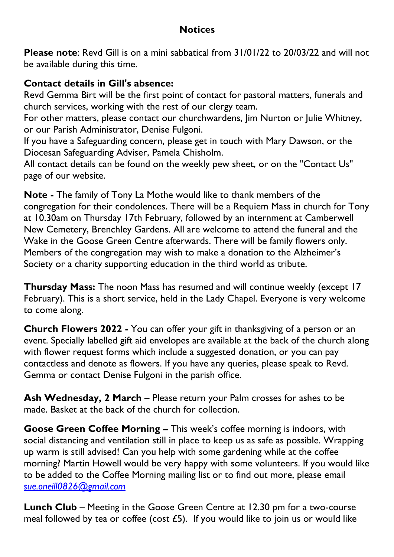# **Notices**

**Please note**: Revd Gill is on a mini sabbatical from 31/01/22 to 20/03/22 and will not be available during this time.

### **Contact details in Gill's absence:**

Revd Gemma Birt will be the first point of contact for pastoral matters, funerals and church services, working with the rest of our clergy team.

For other matters, please contact our churchwardens, Jim Nurton or Julie Whitney, or our Parish Administrator, Denise Fulgoni.

If you have a Safeguarding concern, please get in touch with Mary Dawson, or the Diocesan Safeguarding Adviser, Pamela Chisholm.

All contact details can be found on the weekly pew sheet, or on the "Contact Us" page of our website.

**Note -** The family of Tony La Mothe would like to thank members of the congregation for their condolences. There will be a Requiem Mass in church for Tony at 10.30am on Thursday 17th February, followed by an internment at Camberwell New Cemetery, Brenchley Gardens. All are welcome to attend the funeral and the Wake in the Goose Green Centre afterwards. There will be family flowers only. Members of the congregation may wish to make a donation to the Alzheimer's Society or a charity supporting education in the third world as tribute.

**Thursday Mass:** The noon Mass has resumed and will continue weekly (except 17 February). This is a short service, held in the Lady Chapel. Everyone is very welcome to come along.

**Church Flowers 2022 -** You can offer your gift in thanksgiving of a person or an event. Specially labelled gift aid envelopes are available at the back of the church along with flower request forms which include a suggested donation, or you can pay contactless and denote as flowers. If you have any queries, please speak to Revd. Gemma or contact Denise Fulgoni in the parish office.

**Ash Wednesday, 2 March** – Please return your Palm crosses for ashes to be made. Basket at the back of the church for collection.

**Goose Green Coffee Morning –** This week's coffee morning is indoors, with social distancing and ventilation still in place to keep us as safe as possible. Wrapping up warm is still advised! Can you help with some gardening while at the coffee morning? Martin Howell would be very happy with some volunteers. If you would like to be added to the Coffee Morning mailing list or to find out more, please email *[sue.oneill0826@gmail.com](mailto:sue.oneill0826@gmail.com)*

**Lunch Club** – Meeting in the Goose Green Centre at 12.30 pm for a two-course meal followed by tea or coffee (cost £5). If you would like to join us or would like